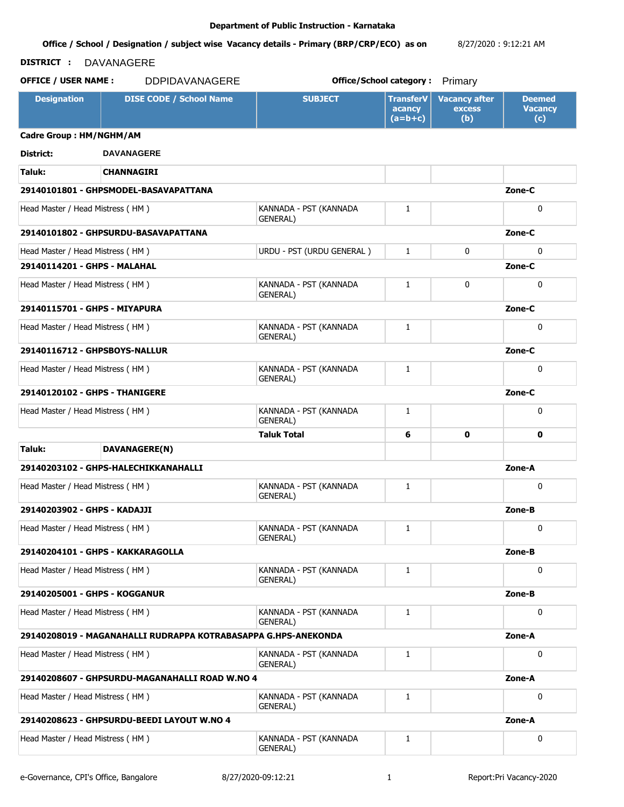#### **Office / School / Designation / subject wise Vacancy details - Primary (BRP/CRP/ECO) as on**  8/27/2020 : 9:12:21 AM

# **DISTRICT :** DAVANAGERE

**OFFICE / USER NAME :** DDPIDAVANAGERE **but the contract office/School category :** Primary

| <b>Designation</b>               | <b>DISE CODE / School Name</b>                                 | <b>SUBJECT</b>                             | <b>TransferV</b><br>acancy<br>$(a=b+c)$ | <b>Vacancy after</b><br><b>excess</b><br>(b) | <b>Deemed</b><br><b>Vacancy</b><br>(c) |
|----------------------------------|----------------------------------------------------------------|--------------------------------------------|-----------------------------------------|----------------------------------------------|----------------------------------------|
| Cadre Group: HM/NGHM/AM          |                                                                |                                            |                                         |                                              |                                        |
| District:                        | <b>DAVANAGERE</b>                                              |                                            |                                         |                                              |                                        |
| Taluk:                           | <b>CHANNAGIRI</b>                                              |                                            |                                         |                                              |                                        |
|                                  | 29140101801 - GHPSMODEL-BASAVAPATTANA                          |                                            |                                         |                                              | Zone-C                                 |
| Head Master / Head Mistress (HM) |                                                                | KANNADA - PST (KANNADA<br>GENERAL)         | 1                                       |                                              | $\mathbf{0}$                           |
|                                  | 29140101802 - GHPSURDU-BASAVAPATTANA                           |                                            |                                         |                                              | Zone-C                                 |
| Head Master / Head Mistress (HM) |                                                                | URDU - PST (URDU GENERAL)                  | $\mathbf{1}$                            | 0                                            | $\mathbf{0}$                           |
| 29140114201 - GHPS - MALAHAL     |                                                                |                                            |                                         |                                              | Zone-C                                 |
| Head Master / Head Mistress (HM) |                                                                | KANNADA - PST (KANNADA<br><b>GENERAL)</b>  | $\mathbf{1}$                            | 0                                            | 0                                      |
| 29140115701 - GHPS - MIYAPURA    |                                                                |                                            |                                         |                                              | Zone-C                                 |
| Head Master / Head Mistress (HM) |                                                                | KANNADA - PST (KANNADA<br>GENERAL)         | 1                                       |                                              | $\mathbf{0}$                           |
| 29140116712 - GHPSBOYS-NALLUR    |                                                                |                                            |                                         |                                              | Zone-C                                 |
| Head Master / Head Mistress (HM) |                                                                | KANNADA - PST (KANNADA<br>GENERAL)         | $\mathbf{1}$                            |                                              | $\mathbf{0}$                           |
| 29140120102 - GHPS - THANIGERE   |                                                                |                                            |                                         |                                              | Zone-C                                 |
| Head Master / Head Mistress (HM) |                                                                | KANNADA - PST (KANNADA<br><b>GENERAL</b> ) | 1                                       |                                              | $\mathbf{0}$                           |
|                                  |                                                                | <b>Taluk Total</b>                         | 6                                       | 0                                            | 0                                      |
| Taluk:                           | DAVANAGERE(N)                                                  |                                            |                                         |                                              |                                        |
|                                  | 29140203102 - GHPS-HALECHIKKANAHALLI                           |                                            |                                         |                                              | Zone-A                                 |
| Head Master / Head Mistress (HM) |                                                                | KANNADA - PST (KANNADA<br>GENERAL)         | 1                                       |                                              | 0                                      |
| 29140203902 - GHPS - KADAJJI     |                                                                |                                            |                                         |                                              | Zone-B                                 |
| Head Master / Head Mistress (HM) |                                                                | KANNADA - PST (KANNADA<br><b>GENERAL</b> ) | 1                                       |                                              | $\mathbf{0}$                           |
|                                  | 29140204101 - GHPS - KAKKARAGOLLA                              |                                            |                                         |                                              | Zone-B                                 |
| Head Master / Head Mistress (HM) |                                                                | KANNADA - PST (KANNADA<br>GENERAL)         | 1                                       |                                              | $\mathbf{0}$                           |
| 29140205001 - GHPS - KOGGANUR    |                                                                |                                            |                                         |                                              | Zone-B                                 |
| Head Master / Head Mistress (HM) |                                                                | KANNADA - PST (KANNADA<br><b>GENERAL)</b>  | 1                                       |                                              | 0                                      |
|                                  | 29140208019 - MAGANAHALLI RUDRAPPA KOTRABASAPPA G.HPS-ANEKONDA |                                            |                                         |                                              | Zone-A                                 |
| Head Master / Head Mistress (HM) |                                                                | KANNADA - PST (KANNADA<br>GENERAL)         | 1                                       |                                              | 0                                      |
|                                  | 29140208607 - GHPSURDU-MAGANAHALLI ROAD W.NO 4                 |                                            |                                         |                                              | Zone-A                                 |
| Head Master / Head Mistress (HM) |                                                                | KANNADA - PST (KANNADA<br>GENERAL)         | 1                                       |                                              | 0                                      |
|                                  | 29140208623 - GHPSURDU-BEEDI LAYOUT W.NO 4                     |                                            |                                         |                                              | Zone-A                                 |
| Head Master / Head Mistress (HM) |                                                                | KANNADA - PST (KANNADA<br>GENERAL)         | 1                                       |                                              | 0                                      |

e-Governance, CPI's Office, Bangalore 8/27/2020-09:12:21 1 1 Report:Pri Vacancy-2020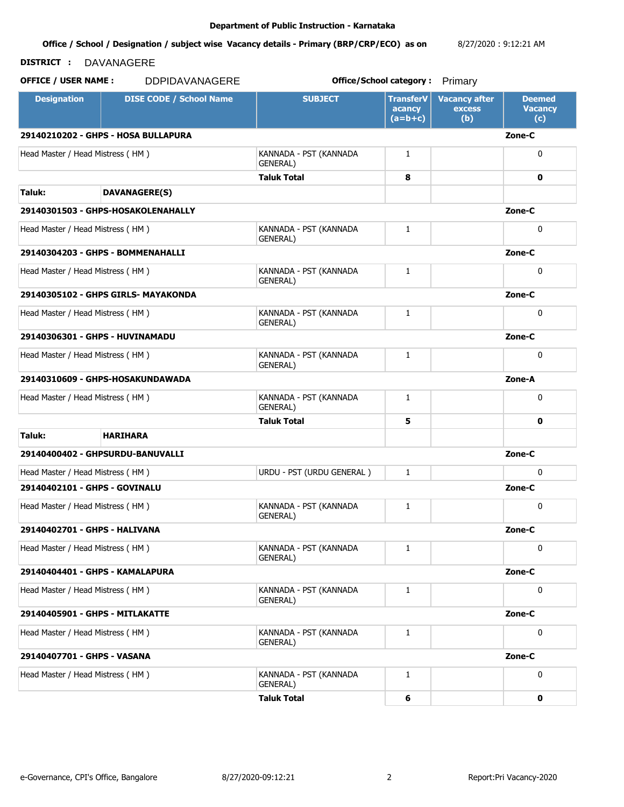**Office / School / Designation / subject wise Vacancy details - Primary (BRP/CRP/ECO) as on**  8/27/2020 : 9:12:21 AM

# **DISTRICT :** DAVANAGERE

| <b>Designation</b>                            | <b>DISE CODE / School Name</b>      | <b>SUBJECT</b>                            | <b>TransferV</b><br>acancy<br>$(a=b+c)$ | <b>Vacancy after</b><br>excess<br>(b) | <b>Deemed</b><br><b>Vacancy</b><br>(c) |
|-----------------------------------------------|-------------------------------------|-------------------------------------------|-----------------------------------------|---------------------------------------|----------------------------------------|
|                                               | 29140210202 - GHPS - HOSA BULLAPURA |                                           |                                         |                                       | Zone-C                                 |
| Head Master / Head Mistress (HM)              |                                     | KANNADA - PST (KANNADA<br>GENERAL)        | $\mathbf{1}$                            |                                       | $\mathbf{0}$                           |
|                                               |                                     | Taluk Total                               | 8                                       |                                       | 0                                      |
| Taluk:                                        | <b>DAVANAGERE(S)</b>                |                                           |                                         |                                       |                                        |
|                                               | 29140301503 - GHPS-HOSAKOLENAHALLY  |                                           |                                         |                                       | Zone-C                                 |
| Head Master / Head Mistress (HM)              |                                     | KANNADA - PST (KANNADA<br><b>GENERAL)</b> | $\mathbf{1}$                            |                                       | $\mathbf{0}$                           |
|                                               | 29140304203 - GHPS - BOMMENAHALLI   |                                           |                                         |                                       | Zone-C                                 |
| Head Master / Head Mistress (HM)              |                                     | KANNADA - PST (KANNADA<br>GENERAL)        | $\mathbf{1}$                            |                                       | $\mathbf{0}$                           |
| 29140305102 - GHPS GIRLS- MAYAKONDA<br>Zone-C |                                     |                                           |                                         |                                       |                                        |
| Head Master / Head Mistress (HM)              |                                     | KANNADA - PST (KANNADA<br><b>GENERAL)</b> | $\mathbf{1}$                            |                                       | $\mathbf{0}$                           |
|                                               | 29140306301 - GHPS - HUVINAMADU     |                                           |                                         |                                       | Zone-C                                 |
| Head Master / Head Mistress (HM)              |                                     | KANNADA - PST (KANNADA<br>GENERAL)        | 1                                       |                                       | $\mathbf{0}$                           |
|                                               | 29140310609 - GHPS-HOSAKUNDAWADA    |                                           |                                         |                                       | Zone-A                                 |
| Head Master / Head Mistress (HM)              |                                     | KANNADA - PST (KANNADA<br><b>GENERAL)</b> | $\mathbf{1}$                            |                                       | $\mathbf{0}$                           |
|                                               |                                     | Taluk Total                               | 5                                       |                                       | 0                                      |
| Taluk:                                        | <b>HARIHARA</b>                     |                                           |                                         |                                       |                                        |
|                                               | 29140400402 - GHPSURDU-BANUVALLI    |                                           |                                         |                                       | Zone-C                                 |
| Head Master / Head Mistress (HM)              |                                     | URDU - PST (URDU GENERAL)                 | $\mathbf{1}$                            |                                       | $\mathbf{0}$                           |
| 29140402101 - GHPS - GOVINALU                 |                                     |                                           |                                         |                                       | Zone-C                                 |
| Head Master / Head Mistress (HM)              |                                     | KANNADA - PST (KANNADA<br><b>GENERAL)</b> | $\mathbf{1}$                            |                                       | $\mathbf{0}$                           |
| 29140402701 - GHPS - HALIVANA                 |                                     |                                           |                                         |                                       | Zone-C                                 |
| Head Master / Head Mistress (HM)              |                                     | KANNADA - PST (KANNADA<br><b>GENERAL)</b> | $\mathbf{1}$                            |                                       | 0                                      |
|                                               | 29140404401 - GHPS - KAMALAPURA     |                                           |                                         |                                       | Zone-C                                 |
| Head Master / Head Mistress (HM)              |                                     | KANNADA - PST (KANNADA<br>GENERAL)        | 1                                       |                                       | $\mathbf{0}$                           |
| 29140405901 - GHPS - MITLAKATTE               |                                     |                                           |                                         |                                       | Zone-C                                 |
| Head Master / Head Mistress (HM)              |                                     | KANNADA - PST (KANNADA<br>GENERAL)        | 1                                       |                                       | 0                                      |
| 29140407701 - GHPS - VASANA                   |                                     |                                           |                                         |                                       | Zone-C                                 |
| Head Master / Head Mistress (HM)              |                                     | KANNADA - PST (KANNADA<br>GENERAL)        | 1                                       |                                       | 0                                      |
|                                               |                                     | <b>Taluk Total</b>                        | 6                                       |                                       | $\mathbf 0$                            |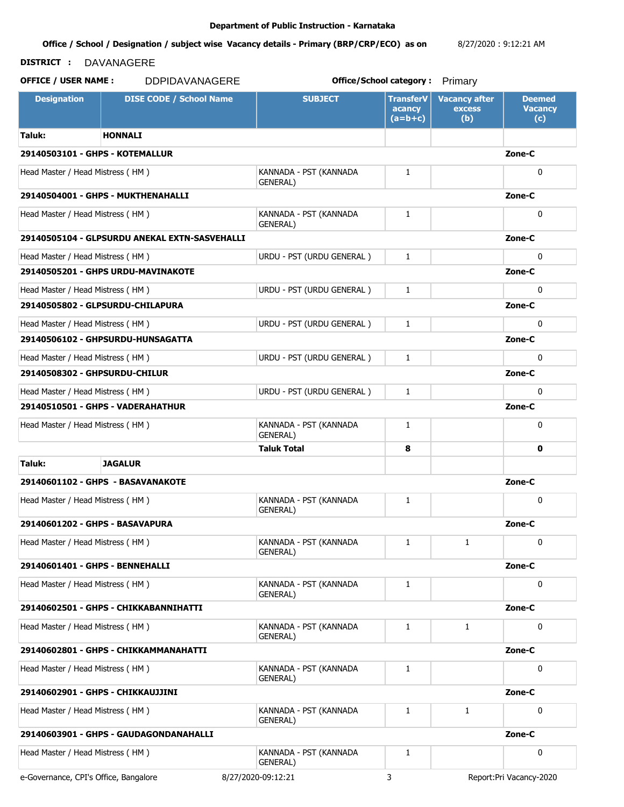**Office / School / Designation / subject wise Vacancy details - Primary (BRP/CRP/ECO) as on**  8/27/2020 : 9:12:21 AM

## **DISTRICT :** DAVANAGERE

**OFFICE / USER NAME :** DDPIDAVANAGERE **but the contract office/School category :** Primary

**Designation | DISE CODE / School Name | SUBJECT | TransferV acancy (a=b+c) Vacancy after excess (b) Deemed Vacancy (c) Taluk: HONNALI 29140503101 - GHPS - KOTEMALLUR Zone-C** Head Master / Head Mistress ( HM ) KANNADA - PST (KANNADA GENERAL) 1 0 **29140504001 - GHPS - MUKTHENAHALLI Zone-C** Head Master / Head Mistress (HM ) KANNADA - PST (KANNADA GENERAL) 1 0 **29140505104 - GLPSURDU ANEKAL EXTN-SASVEHALLI Zone-C** Head Master / Head Mistress ( HM ) URDU - PST (URDU GENERAL ) 1 0 **29140505201 - GHPS URDU-MAVINAKOTE Zone-C** Head Master / Head Mistress ( HM )  $URDU - PST (URDU GENERAL)$  1 0 0 **29140505802 - GLPSURDU-CHILAPURA Zone-C** Head Master / Head Mistress ( HM ) URDU - PST (URDU GENERAL ) 1 0 **29140506102 - GHPSURDU-HUNSAGATTA Zone-C** Head Master / Head Mistress ( HM )  $URDU - PST (URDU GENERAL)$  1 0 0 **29140508302 - GHPSURDU-CHILUR Zone-C** Head Master / Head Mistress ( HM ) URDU - PST (URDU GENERAL ) 1 0 **29140510501 - GHPS - VADERAHATHUR Zone-C** Head Master / Head Mistress ( HM ) KANNADA - PST (KANNADA GENERAL) 1 0 **Taluk Total 8 0 Taluk: JAGALUR 29140601102 - GHPS - BASAVANAKOTE Zone-C** Head Master / Head Mistress ( HM ) KANNADA - PST (KANNADA GENERAL) 1 0 **29140601202 - GHPS - BASAVAPURA Zone-C** Head Master / Head Mistress ( HM ) KANNADA - PST (KANNADA GENERAL) 1 1 0 **29140601401 - GHPS - BENNEHALLI Zone-C** Head Master / Head Mistress ( HM ) KANNADA - PST (KANNADA GENERAL) 1 0 **29140602501 - GHPS - CHIKKABANNIHATTI Zone-C** Head Master / Head Mistress (HM ) KANNADA - PST (KANNADA GENERAL) 1 1 0 **29140602801 - GHPS - CHIKKAMMANAHATTI Zone-C** Head Master / Head Mistress ( HM ) KANNADA - PST (KANNADA GENERAL) 1 0 **29140602901 - GHPS - CHIKKAUJJINI Zone-C** Head Master / Head Mistress ( HM ) KANNADA - PST (KANNADA GENERAL) 1 1 0 **29140603901 - GHPS - GAUDAGONDANAHALLI Zone-C** Head Master / Head Mistress ( HM ) KANNADA - PST (KANNADA GENERAL) 1 0

e-Governance, CPI's Office, Bangalore 8/27/2020-09:12:21 3 Report:Pri Vacancy-2020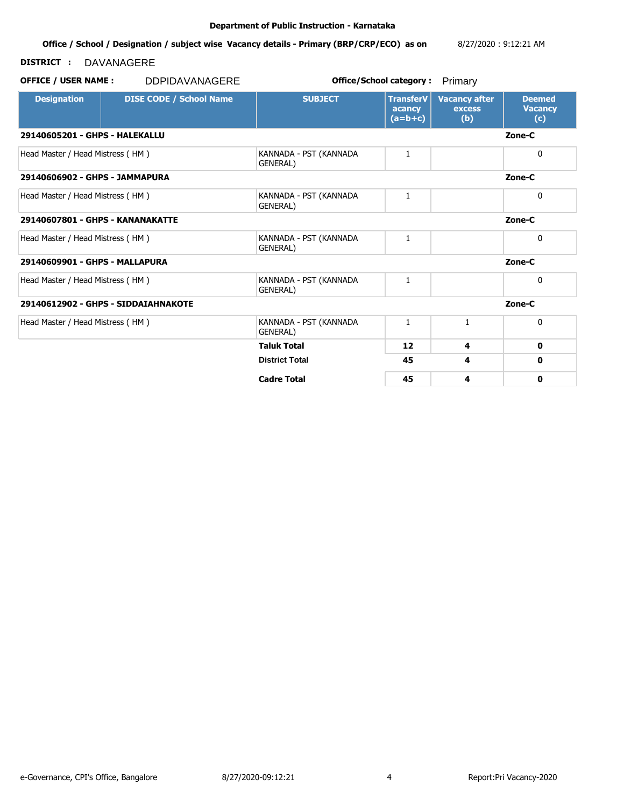**Office / School / Designation / subject wise Vacancy details - Primary (BRP/CRP/ECO) as on**  8/27/2020 : 9:12:21 AM

# **DISTRICT :** DAVANAGERE

| <b>Designation</b>                         | <b>DISE CODE / School Name</b>      | <b>SUBJECT</b>                             | <b>TransferV</b><br>acancy<br>$(a=b+c)$ | <b>Vacancy after</b><br><b>excess</b><br>(b) | <b>Deemed</b><br><b>Vacancy</b><br>(c) |
|--------------------------------------------|-------------------------------------|--------------------------------------------|-----------------------------------------|----------------------------------------------|----------------------------------------|
| 29140605201 - GHPS - HALEKALLU             |                                     |                                            |                                         |                                              | Zone-C                                 |
| Head Master / Head Mistress (HM)           |                                     | KANNADA - PST (KANNADA<br><b>GENERAL</b> ) | 1                                       |                                              | 0                                      |
| 29140606902 - GHPS - JAMMAPURA             |                                     |                                            |                                         |                                              | Zone-C                                 |
| Head Master / Head Mistress (HM)           |                                     | KANNADA - PST (KANNADA<br>GENERAL)         | 1                                       |                                              | 0                                      |
| 29140607801 - GHPS - KANANAKATTE<br>Zone-C |                                     |                                            |                                         |                                              |                                        |
| Head Master / Head Mistress (HM)           |                                     | KANNADA - PST (KANNADA<br><b>GENERAL</b> ) | 1                                       |                                              | 0                                      |
| 29140609901 - GHPS - MALLAPURA             |                                     |                                            |                                         |                                              | Zone-C                                 |
| Head Master / Head Mistress (HM)           |                                     | KANNADA - PST (KANNADA<br><b>GENERAL</b> ) | 1                                       |                                              | 0                                      |
|                                            | 29140612902 - GHPS - SIDDAIAHNAKOTE |                                            |                                         |                                              | Zone-C                                 |
| Head Master / Head Mistress (HM)           |                                     | KANNADA - PST (KANNADA<br>GENERAL)         | $\mathbf{1}$                            | 1                                            | 0                                      |
|                                            |                                     | <b>Taluk Total</b>                         | 12                                      | 4                                            | 0                                      |
|                                            |                                     | <b>District Total</b>                      | 45                                      | 4                                            | 0                                      |
|                                            |                                     | <b>Cadre Total</b>                         | 45                                      | 4                                            | 0                                      |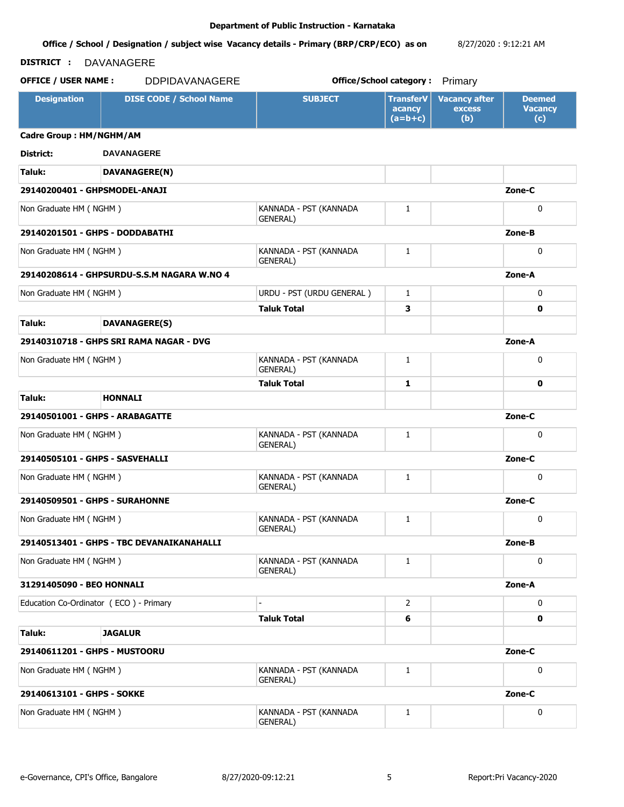#### **Office / School / Designation / subject wise Vacancy details - Primary (BRP/CRP/ECO) as on**  8/27/2020 : 9:12:21 AM

# **DISTRICT :** DAVANAGERE

| <b>Designation</b>                     | <b>DISE CODE / School Name</b>             | <b>SUBJECT</b>                             | <b>TransferV</b><br>acancy<br>$(a=b+c)$ | <b>Vacancy after</b><br><b>excess</b><br>(b) | <b>Deemed</b><br><b>Vacancy</b><br>(c) |
|----------------------------------------|--------------------------------------------|--------------------------------------------|-----------------------------------------|----------------------------------------------|----------------------------------------|
| Cadre Group: HM/NGHM/AM                |                                            |                                            |                                         |                                              |                                        |
| District:                              | <b>DAVANAGERE</b>                          |                                            |                                         |                                              |                                        |
| Taluk:                                 | DAVANAGERE(N)                              |                                            |                                         |                                              |                                        |
| 29140200401 - GHPSMODEL-ANAJI          |                                            |                                            |                                         |                                              | Zone-C                                 |
| Non Graduate HM (NGHM)                 |                                            | KANNADA - PST (KANNADA<br><b>GENERAL)</b>  | $\mathbf{1}$                            |                                              | $\mathbf{0}$                           |
| 29140201501 - GHPS - DODDABATHI        |                                            |                                            |                                         |                                              | Zone-B                                 |
| Non Graduate HM (NGHM)                 |                                            | KANNADA - PST (KANNADA<br>GENERAL)         | $\mathbf{1}$                            |                                              | 0                                      |
|                                        | 29140208614 - GHPSURDU-S.S.M NAGARA W.NO 4 |                                            |                                         |                                              | Zone-A                                 |
| Non Graduate HM (NGHM)                 |                                            | URDU - PST (URDU GENERAL)                  | $\mathbf{1}$                            |                                              | $\mathbf{0}$                           |
|                                        |                                            | <b>Taluk Total</b>                         | 3                                       |                                              | 0                                      |
| Taluk:                                 | <b>DAVANAGERE(S)</b>                       |                                            |                                         |                                              |                                        |
|                                        | 29140310718 - GHPS SRI RAMA NAGAR - DVG    |                                            |                                         |                                              | Zone-A                                 |
| Non Graduate HM (NGHM)                 |                                            | KANNADA - PST (KANNADA<br><b>GENERAL</b> ) | 1                                       |                                              | 0                                      |
|                                        |                                            | <b>Taluk Total</b>                         | 1                                       |                                              | 0                                      |
| Taluk:                                 | <b>HONNALI</b>                             |                                            |                                         |                                              |                                        |
| 29140501001 - GHPS - ARABAGATTE        |                                            |                                            |                                         |                                              | Zone-C                                 |
| Non Graduate HM (NGHM)                 |                                            | KANNADA - PST (KANNADA<br>GENERAL)         | 1                                       |                                              | 0                                      |
| 29140505101 - GHPS - SASVEHALLI        |                                            |                                            |                                         |                                              | Zone-C                                 |
| Non Graduate HM (NGHM)                 |                                            | KANNADA - PST (KANNADA<br>GENERAL)         | $\mathbf{1}$                            |                                              | $\mathbf{0}$                           |
| 29140509501 - GHPS - SURAHONNE         |                                            |                                            |                                         |                                              | Zone-C                                 |
| Non Graduate HM (NGHM)                 |                                            | KANNADA - PST (KANNADA<br>GENERAL)         | $\mathbf{1}$                            |                                              | 0                                      |
|                                        | 29140513401 - GHPS - TBC DEVANAIKANAHALLI  |                                            |                                         |                                              | Zone-B                                 |
| Non Graduate HM (NGHM)                 |                                            | KANNADA - PST (KANNADA<br>GENERAL)         | 1                                       |                                              | 0                                      |
| 31291405090 - BEO HONNALI              |                                            |                                            |                                         |                                              | Zone-A                                 |
| Education Co-Ordinator (ECO) - Primary |                                            |                                            | $\mathbf{2}^{\prime}$                   |                                              | 0                                      |
|                                        |                                            | <b>Taluk Total</b>                         | 6                                       |                                              | 0                                      |
| Taluk:                                 | <b>JAGALUR</b>                             |                                            |                                         |                                              |                                        |
| 29140611201 - GHPS - MUSTOORU          |                                            |                                            |                                         |                                              | Zone-C                                 |
| Non Graduate HM (NGHM)                 |                                            | KANNADA - PST (KANNADA<br>GENERAL)         | $\mathbf{1}$                            |                                              | 0                                      |
| 29140613101 - GHPS - SOKKE             |                                            |                                            |                                         |                                              | Zone-C                                 |
| Non Graduate HM (NGHM)                 |                                            | KANNADA - PST (KANNADA<br>GENERAL)         | $\mathbf{1}$                            |                                              | 0                                      |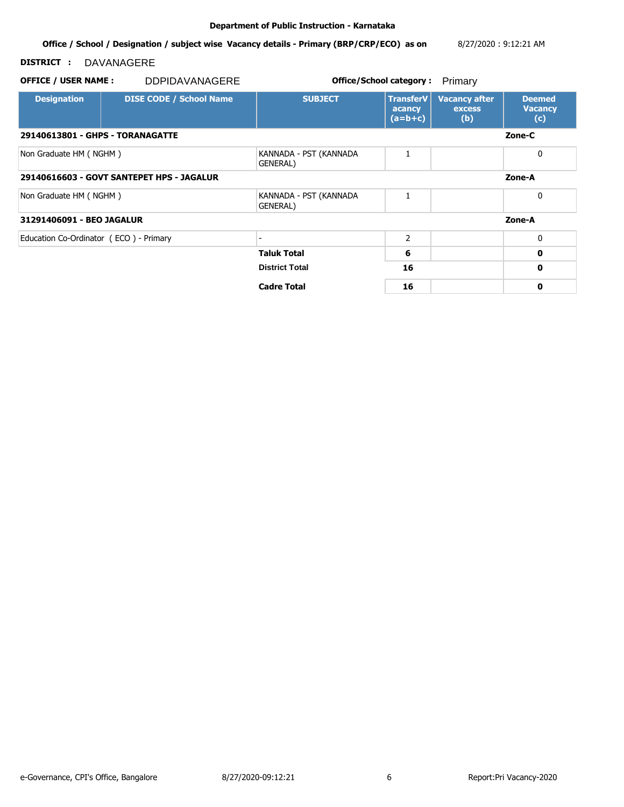**Office / School / Designation / subject wise Vacancy details - Primary (BRP/CRP/ECO) as on**  8/27/2020 : 9:12:21 AM

# **DISTRICT :** DAVANAGERE

# **OFFICE / USER NAME :** DDPIDAVANAGERE **but the contract office/School category :** Primary

**Designation DISE CODE / School Name SUBJECT TransferV acancy (a=b+c) Vacancy after excess (b) Deemed Vacancy (c) 29140613801 - GHPS - TORANAGATTE Zone-C** Non Graduate HM ( NGHM ) KANNADA - PST (KANNADA GENERAL) 1 0 **29140616603 - GOVT SANTEPET HPS - JAGALUR Zone-A** Non Graduate HM ( NGHM ) KANNADA - PST (KANNADA GENERAL) 1 0 **31291406091 - BEO JAGALUR Zone-A** Education Co-Ordinator (ECO ) - Primary 2 2 0 **Taluk Total 6 0 District Total 16 0 Cadre Total 16 0**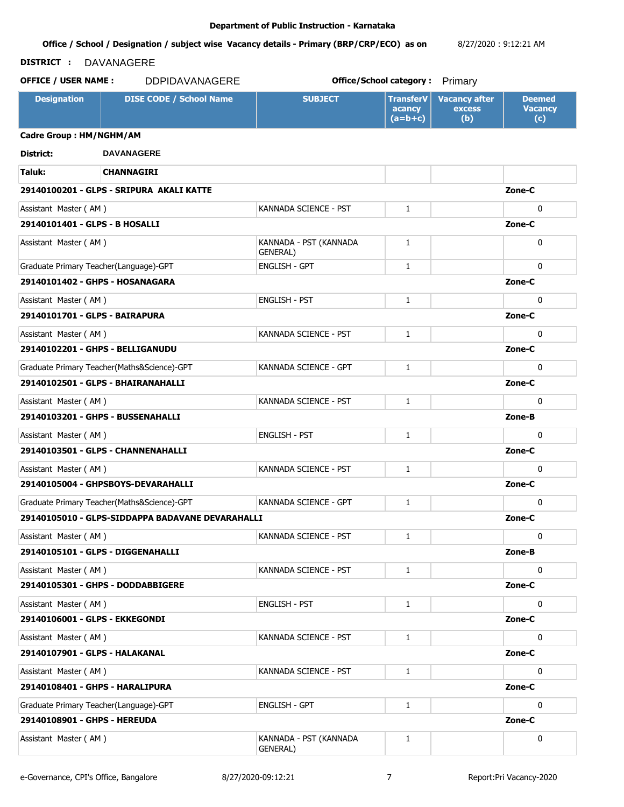#### **Office / School / Designation / subject wise Vacancy details - Primary (BRP/CRP/ECO) as on**  8/27/2020 : 9:12:21 AM

### **DISTRICT :** DAVANAGERE

| <b>Designation</b>                        | <b>DISE CODE / School Name</b>                   | <b>SUBJECT</b>                     | <b>TransferV</b><br>acancy<br>$(a=b+c)$ | <b>Vacancy after</b><br>excess<br>(b) | <b>Deemed</b><br><b>Vacancy</b><br>(c) |
|-------------------------------------------|--------------------------------------------------|------------------------------------|-----------------------------------------|---------------------------------------|----------------------------------------|
| Cadre Group: HM/NGHM/AM                   |                                                  |                                    |                                         |                                       |                                        |
| District:                                 | <b>DAVANAGERE</b>                                |                                    |                                         |                                       |                                        |
| Taluk:                                    | <b>CHANNAGIRI</b>                                |                                    |                                         |                                       |                                        |
|                                           | 29140100201 - GLPS - SRIPURA AKALI KATTE         |                                    |                                         |                                       | Zone-C                                 |
| Assistant Master (AM)                     |                                                  | KANNADA SCIENCE - PST              | $\mathbf{1}$                            |                                       | $\Omega$                               |
| 29140101401 - GLPS - B HOSALLI            |                                                  |                                    |                                         |                                       | Zone-C                                 |
| Assistant Master (AM)                     |                                                  | KANNADA - PST (KANNADA<br>GENERAL) | 1                                       |                                       | $\mathbf{0}$                           |
| Graduate Primary Teacher(Language)-GPT    |                                                  | <b>ENGLISH - GPT</b>               | $\mathbf{1}$                            |                                       | $\mathbf{0}$                           |
| 29140101402 - GHPS - HOSANAGARA<br>Zone-C |                                                  |                                    |                                         |                                       |                                        |
| Assistant Master (AM)                     |                                                  | <b>ENGLISH - PST</b>               | $\mathbf{1}$                            |                                       | $\mathbf{0}$                           |
| 29140101701 - GLPS - BAIRAPURA            |                                                  |                                    |                                         |                                       | Zone-C                                 |
| Assistant Master (AM)                     |                                                  | KANNADA SCIENCE - PST              | $\mathbf{1}$                            |                                       | $\mathbf{0}$                           |
| 29140102201 - GHPS - BELLIGANUDU          |                                                  |                                    |                                         |                                       | Zone-C                                 |
|                                           | Graduate Primary Teacher(Maths&Science)-GPT      | KANNADA SCIENCE - GPT              | $\mathbf{1}$                            |                                       | $\Omega$                               |
|                                           | 29140102501 - GLPS - BHAIRANAHALLI               |                                    |                                         |                                       | Zone-C                                 |
| Assistant Master (AM)                     |                                                  | KANNADA SCIENCE - PST              | $\mathbf{1}$                            |                                       | $\mathbf{0}$                           |
|                                           | 29140103201 - GHPS - BUSSENAHALLI                |                                    |                                         |                                       | Zone-B                                 |
| Assistant Master (AM)                     |                                                  | <b>ENGLISH - PST</b>               | $\mathbf{1}$                            |                                       | $\Omega$                               |
|                                           | 29140103501 - GLPS - CHANNENAHALLI               |                                    |                                         |                                       | Zone-C                                 |
| Assistant Master (AM)                     |                                                  | KANNADA SCIENCE - PST              | $\mathbf{1}$                            |                                       | $\mathbf{0}$                           |
|                                           | 29140105004 - GHPSBOYS-DEVARAHALLI               |                                    |                                         |                                       | Zone-C                                 |
|                                           | Graduate Primary Teacher(Maths&Science)-GPT      | KANNADA SCIENCE - GPT              | $\mathbf{1}$                            |                                       | $\mathbf{0}$                           |
|                                           | 29140105010 - GLPS-SIDDAPPA BADAVANE DEVARAHALLI |                                    |                                         |                                       | Zone-C                                 |
| Assistant Master (AM)                     |                                                  | KANNADA SCIENCE - PST              | 1                                       |                                       | 0                                      |
| 29140105101 - GLPS - DIGGENAHALLI         |                                                  |                                    |                                         |                                       | Zone-B                                 |
| Assistant Master (AM)                     |                                                  | KANNADA SCIENCE - PST              | $\mathbf{1}$                            |                                       | $\mathbf{0}$                           |
|                                           | 29140105301 - GHPS - DODDABBIGERE                |                                    |                                         |                                       | Zone-C                                 |
| Assistant Master (AM)                     |                                                  | <b>ENGLISH - PST</b>               | $\mathbf{1}$                            |                                       | $\mathbf{0}$                           |
| 29140106001 - GLPS - EKKEGONDI            |                                                  |                                    |                                         |                                       | Zone-C                                 |
| Assistant Master (AM)                     |                                                  | KANNADA SCIENCE - PST              | 1                                       |                                       | $\mathbf 0$                            |
| 29140107901 - GLPS - HALAKANAL            |                                                  |                                    |                                         |                                       | Zone-C                                 |
| Assistant Master (AM)                     |                                                  | KANNADA SCIENCE - PST              | 1                                       |                                       | $\mathbf 0$                            |
| 29140108401 - GHPS - HARALIPURA           |                                                  |                                    |                                         |                                       | Zone-C                                 |
| Graduate Primary Teacher(Language)-GPT    |                                                  | <b>ENGLISH - GPT</b>               | $\mathbf{1}$                            |                                       | 0                                      |
| 29140108901 - GHPS - HEREUDA              |                                                  |                                    |                                         |                                       | Zone-C                                 |
| Assistant Master (AM)                     |                                                  | KANNADA - PST (KANNADA<br>GENERAL) | $\mathbf{1}$                            |                                       | 0                                      |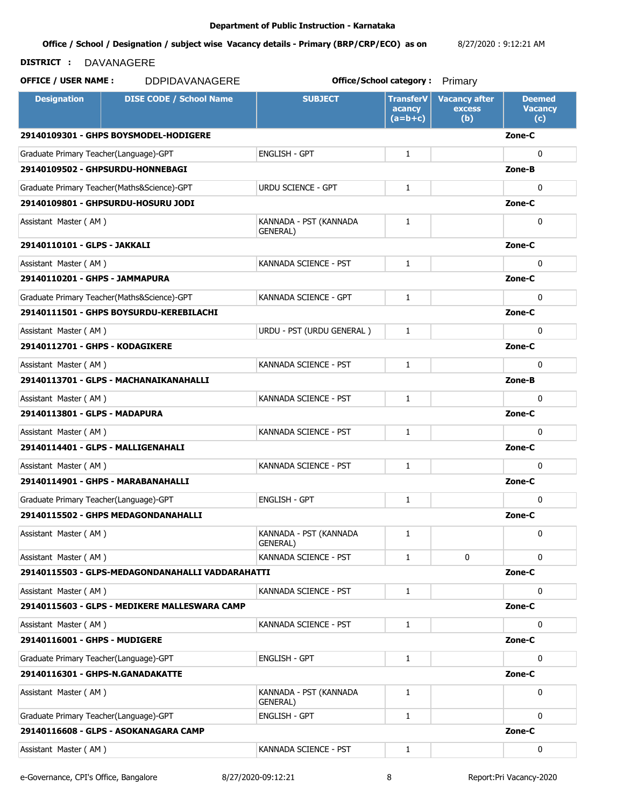**Office / School / Designation / subject wise Vacancy details - Primary (BRP/CRP/ECO) as on**  8/27/2020 : 9:12:21 AM

## **DISTRICT :** DAVANAGERE

**OFFICE / USER NAME :** DDPIDAVANAGERE **but the contract office/School category :** Primary

| <b>Designation</b>                       | <b>DISE CODE / School Name</b>                   | <b>SUBJECT</b>                            | <b>TransferV</b><br>acancy<br>$(a=b+c)$ | <b>Vacancy after</b><br>excess<br>(b) | <b>Deemed</b><br><b>Vacancy</b><br>(c) |  |
|------------------------------------------|--------------------------------------------------|-------------------------------------------|-----------------------------------------|---------------------------------------|----------------------------------------|--|
|                                          | 29140109301 - GHPS BOYSMODEL-HODIGERE            |                                           |                                         |                                       | Zone-C                                 |  |
| Graduate Primary Teacher(Language)-GPT   |                                                  | <b>ENGLISH - GPT</b>                      | $\mathbf{1}$                            |                                       | $\mathbf{0}$                           |  |
|                                          | 29140109502 - GHPSURDU-HONNEBAGI                 |                                           |                                         |                                       | Zone-B                                 |  |
|                                          | Graduate Primary Teacher(Maths&Science)-GPT      | <b>URDU SCIENCE - GPT</b>                 | $\mathbf{1}$                            |                                       | $\Omega$                               |  |
|                                          | 29140109801 - GHPSURDU-HOSURU JODI               |                                           |                                         |                                       | Zone-C                                 |  |
| Assistant Master (AM)                    |                                                  | KANNADA - PST (KANNADA<br>GENERAL)        | 1                                       |                                       | $\mathbf{0}$                           |  |
| 29140110101 - GLPS - JAKKALI             |                                                  |                                           |                                         |                                       | Zone-C                                 |  |
| Assistant Master (AM)                    |                                                  | KANNADA SCIENCE - PST                     | $\mathbf{1}$                            |                                       | $\mathbf{0}$                           |  |
| 29140110201 - GHPS - JAMMAPURA<br>Zone-C |                                                  |                                           |                                         |                                       |                                        |  |
|                                          | Graduate Primary Teacher(Maths&Science)-GPT      | KANNADA SCIENCE - GPT                     | $\mathbf{1}$                            |                                       | $\Omega$                               |  |
|                                          | 29140111501 - GHPS BOYSURDU-KEREBILACHI          |                                           |                                         |                                       | Zone-C                                 |  |
| Assistant Master (AM)                    |                                                  | URDU - PST (URDU GENERAL)                 | $\mathbf{1}$                            |                                       | $\mathbf{0}$                           |  |
| 29140112701 - GHPS - KODAGIKERE          |                                                  |                                           |                                         |                                       | Zone-C                                 |  |
| Assistant Master (AM)                    |                                                  | KANNADA SCIENCE - PST                     | $\mathbf{1}$                            |                                       | $\Omega$                               |  |
|                                          | 29140113701 - GLPS - MACHANAIKANAHALLI           |                                           |                                         |                                       | Zone-B                                 |  |
| Assistant Master (AM)                    |                                                  | KANNADA SCIENCE - PST                     | $\mathbf{1}$                            |                                       | $\mathbf{0}$                           |  |
| 29140113801 - GLPS - MADAPURA            |                                                  |                                           |                                         |                                       | Zone-C                                 |  |
| Assistant Master (AM)                    |                                                  | KANNADA SCIENCE - PST                     | $\mathbf{1}$                            |                                       | $\mathbf{0}$                           |  |
|                                          | 29140114401 - GLPS - MALLIGENAHALI               |                                           |                                         |                                       | Zone-C                                 |  |
| Assistant Master (AM)                    |                                                  | KANNADA SCIENCE - PST                     | 1                                       |                                       | $\mathbf{0}$                           |  |
|                                          | 29140114901 - GHPS - MARABANAHALLI               |                                           |                                         |                                       | Zone-C                                 |  |
| Graduate Primary Teacher(Language)-GPT   |                                                  | <b>ENGLISH - GPT</b>                      | $\mathbf{1}$                            |                                       | $\mathbf{0}$                           |  |
|                                          | 29140115502 - GHPS MEDAGONDANAHALLI              |                                           |                                         |                                       | Zone-C                                 |  |
| Assistant Master (AM)                    |                                                  | KANNADA - PST (KANNADA<br><b>GENERAL)</b> | 1                                       |                                       | 0                                      |  |
| Assistant Master (AM)                    |                                                  | KANNADA SCIENCE - PST                     | 1                                       | 0                                     | $\mathbf{0}$                           |  |
|                                          | 29140115503 - GLPS-MEDAGONDANAHALLI VADDARAHATTI |                                           |                                         |                                       | Zone-C                                 |  |
| Assistant Master (AM)                    |                                                  | KANNADA SCIENCE - PST                     | 1                                       |                                       | 0                                      |  |
|                                          | 29140115603 - GLPS - MEDIKERE MALLESWARA CAMP    |                                           |                                         |                                       | Zone-C                                 |  |
| Assistant Master (AM)                    |                                                  | KANNADA SCIENCE - PST                     | 1                                       |                                       | $\mathbf 0$                            |  |
| 29140116001 - GHPS - MUDIGERE            |                                                  |                                           |                                         |                                       | Zone-C                                 |  |
| Graduate Primary Teacher(Language)-GPT   |                                                  | <b>ENGLISH - GPT</b>                      | 1                                       |                                       | $\mathbf{0}$                           |  |
|                                          | 29140116301 - GHPS-N.GANADAKATTE                 |                                           |                                         |                                       | Zone-C                                 |  |
| Assistant Master (AM)                    |                                                  | KANNADA - PST (KANNADA<br>GENERAL)        | 1                                       |                                       | 0                                      |  |
| Graduate Primary Teacher(Language)-GPT   |                                                  | <b>ENGLISH - GPT</b>                      | 1                                       |                                       | 0                                      |  |
|                                          | 29140116608 - GLPS - ASOKANAGARA CAMP            |                                           |                                         |                                       | Zone-C                                 |  |
| Assistant Master (AM)                    |                                                  | KANNADA SCIENCE - PST                     | 1                                       |                                       | 0                                      |  |

e-Governance, CPI's Office, Bangalore 8/27/2020-09:12:21 8 Report:Pri Vacancy-2020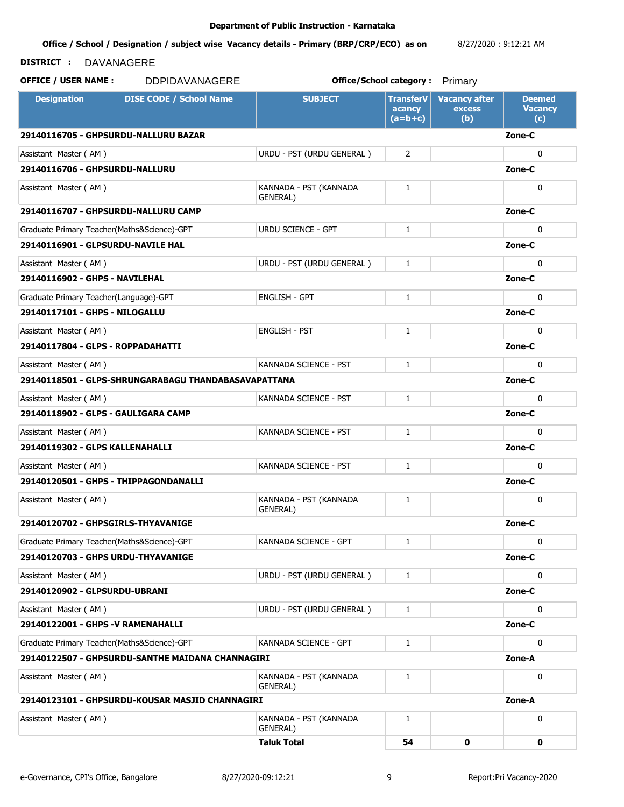#### **Office / School / Designation / subject wise Vacancy details - Primary (BRP/CRP/ECO) as on**  8/27/2020 : 9:12:21 AM

### **DISTRICT :** DAVANAGERE

| <b>Designation</b>                                             | <b>DISE CODE / School Name</b>                   | <b>SUBJECT</b>                     | <b>TransferV</b><br>acancy<br>$(a=b+c)$ | <b>Vacancy after</b><br><b>excess</b><br>(b) | <b>Deemed</b><br><b>Vacancy</b><br>(c) |
|----------------------------------------------------------------|--------------------------------------------------|------------------------------------|-----------------------------------------|----------------------------------------------|----------------------------------------|
|                                                                | 29140116705 - GHPSURDU-NALLURU BAZAR             |                                    |                                         |                                              | Zone-C                                 |
| Assistant Master (AM)                                          |                                                  | URDU - PST (URDU GENERAL)          | $\overline{2}$                          |                                              | $\mathbf{0}$                           |
| 29140116706 - GHPSURDU-NALLURU                                 |                                                  |                                    |                                         |                                              | Zone-C                                 |
| Assistant Master (AM)                                          |                                                  | KANNADA - PST (KANNADA<br>GENERAL) | 1                                       |                                              | $\mathbf{0}$                           |
|                                                                | 29140116707 - GHPSURDU-NALLURU CAMP              |                                    |                                         |                                              | Zone-C                                 |
|                                                                | Graduate Primary Teacher(Maths&Science)-GPT      | <b>URDU SCIENCE - GPT</b>          | $\mathbf{1}$                            |                                              | $\mathbf{0}$                           |
|                                                                | 29140116901 - GLPSURDU-NAVILE HAL                |                                    |                                         |                                              | Zone-C                                 |
| Assistant Master (AM)                                          |                                                  | URDU - PST (URDU GENERAL)          | $\mathbf{1}$                            |                                              | $\mathbf{0}$                           |
| 29140116902 - GHPS - NAVILEHAL                                 |                                                  |                                    |                                         |                                              | Zone-C                                 |
| Graduate Primary Teacher(Language)-GPT                         |                                                  | <b>ENGLISH - GPT</b>               | 1                                       |                                              | $\mathbf{0}$                           |
| 29140117101 - GHPS - NILOGALLU                                 |                                                  |                                    |                                         |                                              | Zone-C                                 |
| Assistant Master (AM)                                          |                                                  | <b>ENGLISH - PST</b>               | $\mathbf{1}$                            |                                              | $\mathbf{0}$                           |
| 29140117804 - GLPS - ROPPADAHATTI                              |                                                  |                                    |                                         |                                              | Zone-C                                 |
| Assistant Master (AM)                                          |                                                  | KANNADA SCIENCE - PST              | $\mathbf{1}$                            |                                              | $\mathbf{0}$                           |
| 29140118501 - GLPS-SHRUNGARABAGU THANDABASAVAPATTANA<br>Zone-C |                                                  |                                    |                                         |                                              |                                        |
| Assistant Master (AM)                                          |                                                  | KANNADA SCIENCE - PST              | $\mathbf{1}$                            |                                              | $\Omega$                               |
|                                                                | 29140118902 - GLPS - GAULIGARA CAMP              |                                    |                                         |                                              | Zone-C                                 |
| Assistant Master (AM)                                          |                                                  | KANNADA SCIENCE - PST              | 1                                       |                                              | $\mathbf{0}$                           |
| 29140119302 - GLPS KALLENAHALLI                                |                                                  |                                    |                                         |                                              | Zone-C                                 |
| Assistant Master (AM)                                          |                                                  | KANNADA SCIENCE - PST              | $\mathbf{1}$                            |                                              | $\mathbf{0}$                           |
|                                                                | 29140120501 - GHPS - THIPPAGONDANALLI            |                                    |                                         |                                              | Zone-C                                 |
| Assistant Master (AM)                                          |                                                  | KANNADA - PST (KANNADA<br>GENERAL) | $\mathbf{1}$                            |                                              | 0                                      |
|                                                                | 29140120702 - GHPSGIRLS-THYAVANIGE               |                                    |                                         |                                              | Zone-C                                 |
|                                                                | Graduate Primary Teacher(Maths&Science)-GPT      | KANNADA SCIENCE - GPT              | 1                                       |                                              | 0                                      |
|                                                                | 29140120703 - GHPS URDU-THYAVANIGE               |                                    |                                         |                                              | Zone-C                                 |
| Assistant Master (AM)                                          |                                                  | URDU - PST (URDU GENERAL)          | 1                                       |                                              | $\mathbf{0}$                           |
| 29140120902 - GLPSURDU-UBRANI                                  |                                                  |                                    |                                         |                                              | Zone-C                                 |
| Assistant Master (AM)                                          |                                                  | URDU - PST (URDU GENERAL)          | 1                                       |                                              | 0                                      |
|                                                                | 29140122001 - GHPS -V RAMENAHALLI                |                                    |                                         |                                              | Zone-C                                 |
|                                                                | Graduate Primary Teacher(Maths&Science)-GPT      | KANNADA SCIENCE - GPT              | 1                                       |                                              | 0                                      |
|                                                                | 29140122507 - GHPSURDU-SANTHE MAIDANA CHANNAGIRI |                                    |                                         |                                              | Zone-A                                 |
| Assistant Master (AM)                                          |                                                  | KANNADA - PST (KANNADA<br>GENERAL) | 1                                       |                                              | 0                                      |
|                                                                | 29140123101 - GHPSURDU-KOUSAR MASJID CHANNAGIRI  |                                    |                                         |                                              | Zone-A                                 |
| Assistant Master (AM)                                          |                                                  | KANNADA - PST (KANNADA<br>GENERAL) | $\mathbf{1}$                            |                                              | 0                                      |
|                                                                |                                                  | <b>Taluk Total</b>                 | 54                                      | 0                                            | 0                                      |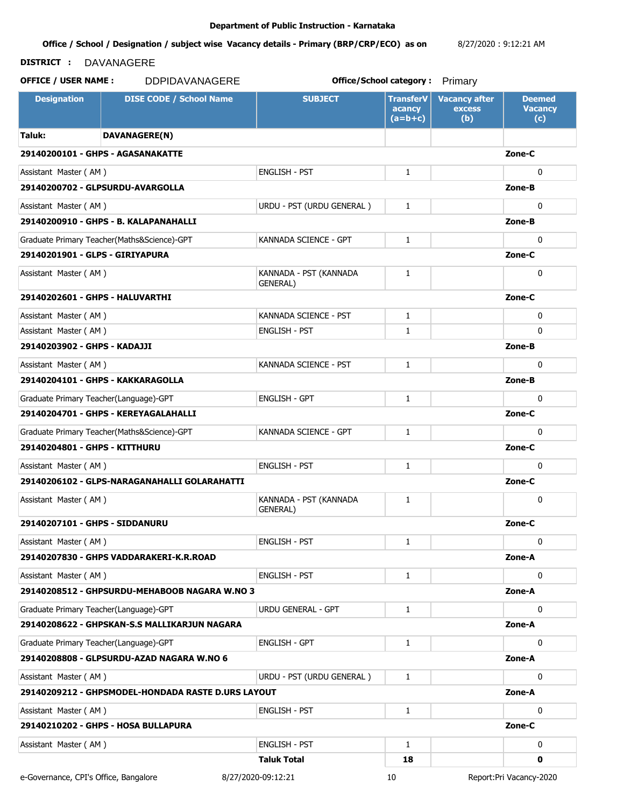#### **Office / School / Designation / subject wise Vacancy details - Primary (BRP/CRP/ECO) as on**  8/27/2020 : 9:12:21 AM

### **DISTRICT :** DAVANAGERE

**OFFICE / USER NAME :** DDPIDAVANAGERE **but the contract office/School category :** Primary

**Designation | DISE CODE / School Name | SUBJECT | TransferV acancy (a=b+c) Vacancy after excess (b) Deemed Vacancy (c) Taluk: DAVANAGERE(N) 29140200101 - GHPS - AGASANAKATTE Zone-C** Assistant Master (AM ) ENGLISH - PST 0 **29140200702 - GLPSURDU-AVARGOLLA Zone-B** Assistant Master ( AM ) URDU - PST (URDU GENERAL ) 1 0 **29140200910 - GHPS - B. KALAPANAHALLI Zone-B** Graduate Primary Teacher(Maths&Science)-GPT KANNADA SCIENCE - GPT 1 0 0 0 **29140201901 - GLPS - GIRIYAPURA Zone-C** Assistant Master (AM ) KANNADA - PST (KANNADA GENERAL) 1 0 **29140202601 - GHPS - HALUVARTHI Zone-C** Assistant Master ( AM ) KANNADA SCIENCE - PST 1 0 Assistant Master ( AM ) ENGLISH - PST 0 **29140203902 - GHPS - KADAJJI Zone-B** Assistant Master ( AM ) KANNADA SCIENCE - PST 1 0 **29140204101 - GHPS - KAKKARAGOLLA Zone-B** Graduate Primary Teacher(Language)-GPT ENGLISH - GPT 1 0 **29140204701 - GHPS - KEREYAGALAHALLI Zone-C** Graduate Primary Teacher(Maths&Science)-GPT KANNADA SCIENCE - GPT 1 0 0 0 **29140204801 - GHPS - KITTHURU Zone-C** Assistant Master ( AM ) ENGLISH - PST 0 **29140206102 - GLPS-NARAGANAHALLI GOLARAHATTI Zone-C** Assistant Master (AM ) KANNADA - PST (KANNADA GENERAL) 1 0 **29140207101 - GHPS - SIDDANURU Zone-C** Assistant Master ( AM ) ENGLISH - PST 0 **29140207830 - GHPS VADDARAKERI-K.R.ROAD Zone-A** Assistant Master ( AM ) ENGLISH - PST 0 **29140208512 - GHPSURDU-MEHABOOB NAGARA W.NO 3 Zone-A** Graduate Primary Teacher(Language)-GPT URDU GENERAL - GPT 1 0 **29140208622 - GHPSKAN-S.S MALLIKARJUN NAGARA Zone-A** Graduate Primary Teacher(Language)-GPT ENGLISH - GPT 1 0 **29140208808 - GLPSURDU-AZAD NAGARA W.NO 6 Zone-A** Assistant Master ( AM ) URDU - PST (URDU GENERAL ) 1 0 **29140209212 - GHPSMODEL-HONDADA RASTE D.URS LAYOUT Zone-A** Assistant Master (AM ) ENGLISH - PST 0 **29140210202 - GHPS - HOSA BULLAPURA Zone-C** Assistant Master (AM ) ENGLISH - PST 0 **Taluk Total 18 0** e-Governance, CPI's Office, Bangalore 8/27/2020-09:12:21 10 Report:Pri Vacancy-2020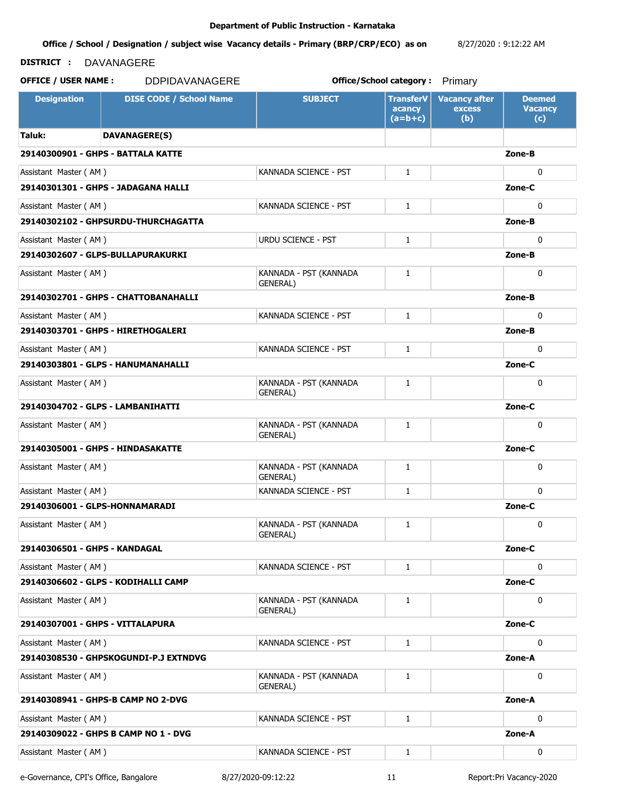**Office / School / Designation / subject wise Vacancy details - Primary (BRP/CRP/ECO) as on**  8/27/2020 : 9:12:22 AM

### **DISTRICT :** DAVANAGERE

**OFFICE / USER NAME :** DDPIDAVANAGERE **but the contract office/School category :** Primary

**Designation | DISE CODE / School Name | SUBJECT | TransferV acancy (a=b+c) Vacancy after excess (b) Deemed Vacancy (c) Taluk: DAVANAGERE(S) 29140300901 - GHPS - BATTALA KATTE Zone-B** Assistant Master (AM ) KANNADA SCIENCE - PST 0 **29140301301 - GHPS - JADAGANA HALLI Zone-C** Assistant Master ( AM ) KANNADA SCIENCE - PST 0 **29140302102 - GHPSURDU-THURCHAGATTA Zone-B** Assistant Master (AM ) URDU SCIENCE - PST 0 **29140302607 - GLPS-BULLAPURAKURKI Zone-B** Assistant Master (AM ) KANNADA - PST (KANNADA GENERAL) 1 0 **29140302701 - GHPS - CHATTOBANAHALLI Zone-B** Assistant Master ( AM ) KANNADA SCIENCE - PST 1 0 **29140303701 - GHPS - HIRETHOGALERI Zone-B** Assistant Master ( AM ) KANNADA SCIENCE - PST 0 **29140303801 - GLPS - HANUMANAHALLI Zone-C** Assistant Master (AM ) KANNADA - PST (KANNADA GENERAL) 1 0 **29140304702 - GLPS - LAMBANIHATTI Zone-C** Assistant Master (AM ) KANNADA - PST (KANNADA GENERAL) 1 0 **29140305001 - GHPS - HINDASAKATTE Zone-C** Assistant Master (AM ) KANNADA - PST (KANNADA - KANNADA - KANNADA - PST (KANNADA GENERAL) 1 0 Assistant Master ( AM ) KANNADA SCIENCE - PST 0 **29140306001 - GLPS-HONNAMARADI Zone-C** Assistant Master (AM ) KANNADA - PST (KANNADA GENERAL) 1 0 **29140306501 - GHPS - KANDAGAL Zone-C** Assistant Master ( AM ) KANNADA SCIENCE - PST 0 **29140306602 - GLPS - KODIHALLI CAMP Zone-C** Assistant Master (AM ) KANNADA - PST (KANNADA GENERAL) 1 0 **29140307001 - GHPS - VITTALAPURA Zone-C** Assistant Master (AM ) KANNADA SCIENCE - PST 0 **29140308530 - GHPSKOGUNDI-P.J EXTNDVG Zone-A** Assistant Master (AM ) KANNADA - PST (KANNADA GENERAL) 1 0 **29140308941 - GHPS-B CAMP NO 2-DVG Zone-A** Assistant Master (AM ) KANNADA SCIENCE - PST 0 **29140309022 - GHPS B CAMP NO 1 - DVG Zone-A** Assistant Master ( AM ) KANNADA SCIENCE - PST 0

e-Governance, CPI's Office, Bangalore 8/27/2020-09:12:22 11 Report:Pri Vacancy-2020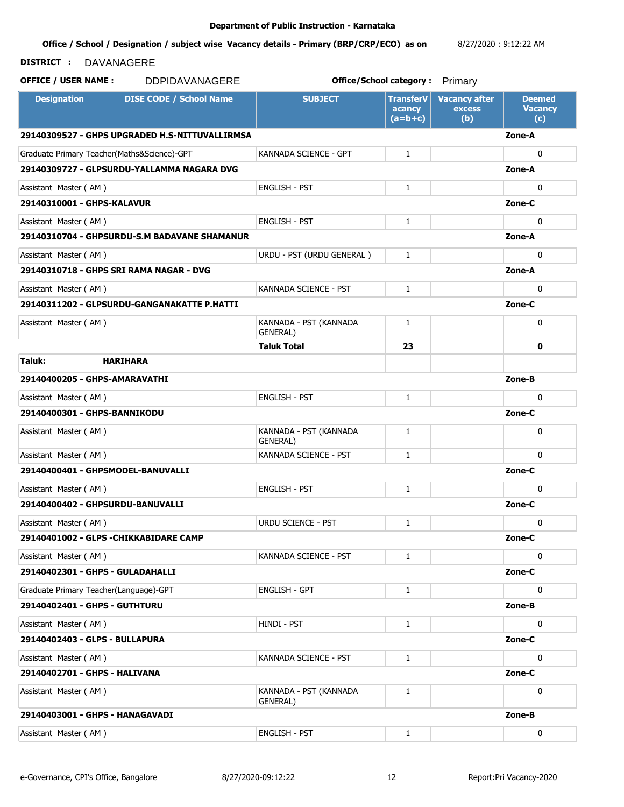#### **Office / School / Designation / subject wise Vacancy details - Primary (BRP/CRP/ECO) as on**  8/27/2020 : 9:12:22 AM

# **DISTRICT :** DAVANAGERE

| <b>Designation</b>                                            | <b>DISE CODE / School Name</b>                                 | <b>SUBJECT</b>                     | <b>TransferV</b><br>acancy<br>$(a=b+c)$ | <b>Vacancy after</b><br>excess<br>(b) | <b>Deemed</b><br><b>Vacancy</b><br>(c) |  |
|---------------------------------------------------------------|----------------------------------------------------------------|------------------------------------|-----------------------------------------|---------------------------------------|----------------------------------------|--|
|                                                               | 29140309527 - GHPS UPGRADED H.S-NITTUVALLIRMSA                 |                                    |                                         |                                       | Zone-A                                 |  |
|                                                               | Graduate Primary Teacher(Maths&Science)-GPT                    | KANNADA SCIENCE - GPT              | $\mathbf{1}$                            |                                       | $\mathbf{0}$                           |  |
|                                                               | 29140309727 - GLPSURDU-YALLAMMA NAGARA DVG                     |                                    |                                         |                                       | Zone-A                                 |  |
| Assistant Master (AM)                                         |                                                                | <b>ENGLISH - PST</b>               | $\mathbf{1}$                            |                                       | $\mathbf{0}$                           |  |
| 29140310001 - GHPS-KALAVUR                                    |                                                                |                                    |                                         |                                       | Zone-C                                 |  |
| Assistant Master (AM)                                         |                                                                | <b>ENGLISH - PST</b>               | $\mathbf{1}$                            |                                       | $\Omega$                               |  |
|                                                               | 29140310704 - GHPSURDU-S.M BADAVANE SHAMANUR                   |                                    |                                         |                                       | Zone-A                                 |  |
| Assistant Master (AM)                                         |                                                                | URDU - PST (URDU GENERAL)          | $\mathbf{1}$                            |                                       | $\mathbf{0}$                           |  |
|                                                               | 29140310718 - GHPS SRI RAMA NAGAR - DVG                        |                                    |                                         |                                       | Zone-A                                 |  |
|                                                               | KANNADA SCIENCE - PST<br>Assistant Master (AM)<br>$\mathbf{1}$ |                                    |                                         |                                       |                                        |  |
|                                                               | 29140311202 - GLPSURDU-GANGANAKATTE P.HATTI                    |                                    |                                         |                                       | Zone-C                                 |  |
| Assistant Master (AM)                                         |                                                                | KANNADA - PST (KANNADA<br>GENERAL) | 1                                       |                                       | $\mathbf{0}$                           |  |
|                                                               |                                                                | <b>Taluk Total</b>                 | 23                                      |                                       | 0                                      |  |
| Taluk:                                                        | <b>HARIHARA</b>                                                |                                    |                                         |                                       |                                        |  |
| 29140400205 - GHPS-AMARAVATHI                                 |                                                                |                                    |                                         |                                       |                                        |  |
| <b>ENGLISH - PST</b><br>$\mathbf{1}$<br>Assistant Master (AM) |                                                                |                                    |                                         |                                       | $\mathbf{0}$                           |  |
| 29140400301 - GHPS-BANNIKODU                                  |                                                                |                                    |                                         |                                       |                                        |  |
| Assistant Master (AM)                                         |                                                                | KANNADA - PST (KANNADA<br>GENERAL) | $\mathbf{1}$                            |                                       | $\mathbf{0}$                           |  |
| Assistant Master (AM)                                         |                                                                | KANNADA SCIENCE - PST              | $\mathbf{1}$                            |                                       | $\Omega$                               |  |
|                                                               | 29140400401 - GHPSMODEL-BANUVALLI                              |                                    |                                         |                                       | Zone-C                                 |  |
| Assistant Master (AM)                                         |                                                                | <b>ENGLISH - PST</b>               | $\mathbf{1}$                            |                                       | $\mathbf{0}$                           |  |
|                                                               | 29140400402 - GHPSURDU-BANUVALLI                               |                                    |                                         |                                       | Zone-C                                 |  |
| Assistant Master (AM)                                         |                                                                | <b>URDU SCIENCE - PST</b>          | $\mathbf{1}$                            |                                       | $\mathbf{0}$                           |  |
|                                                               | 29140401002 - GLPS -CHIKKABIDARE CAMP                          |                                    |                                         |                                       | Zone-C                                 |  |
| Assistant Master (AM)                                         |                                                                | KANNADA SCIENCE - PST              | 1                                       |                                       | 0                                      |  |
| 29140402301 - GHPS - GULADAHALLI                              |                                                                |                                    |                                         |                                       | Zone-C                                 |  |
| Graduate Primary Teacher(Language)-GPT                        |                                                                | <b>ENGLISH - GPT</b>               | $\mathbf{1}$                            |                                       | 0                                      |  |
| 29140402401 - GHPS - GUTHTURU                                 |                                                                |                                    |                                         |                                       | Zone-B                                 |  |
| Assistant Master (AM)                                         |                                                                | HINDI - PST                        | $\mathbf{1}$                            |                                       | 0                                      |  |
| 29140402403 - GLPS - BULLAPURA<br>Zone-C                      |                                                                |                                    |                                         |                                       |                                        |  |
| Assistant Master (AM)                                         |                                                                | KANNADA SCIENCE - PST              | $\mathbf{1}$                            |                                       | $\mathbf{0}$                           |  |
| 29140402701 - GHPS - HALIVANA                                 |                                                                |                                    |                                         |                                       | Zone-C                                 |  |
| Assistant Master (AM)                                         |                                                                | KANNADA - PST (KANNADA<br>GENERAL) | $\mathbf{1}$                            |                                       | 0                                      |  |
| 29140403001 - GHPS - HANAGAVADI                               |                                                                |                                    |                                         |                                       | Zone-B                                 |  |
| Assistant Master (AM)                                         |                                                                | <b>ENGLISH - PST</b>               | $\mathbf{1}$                            |                                       | 0                                      |  |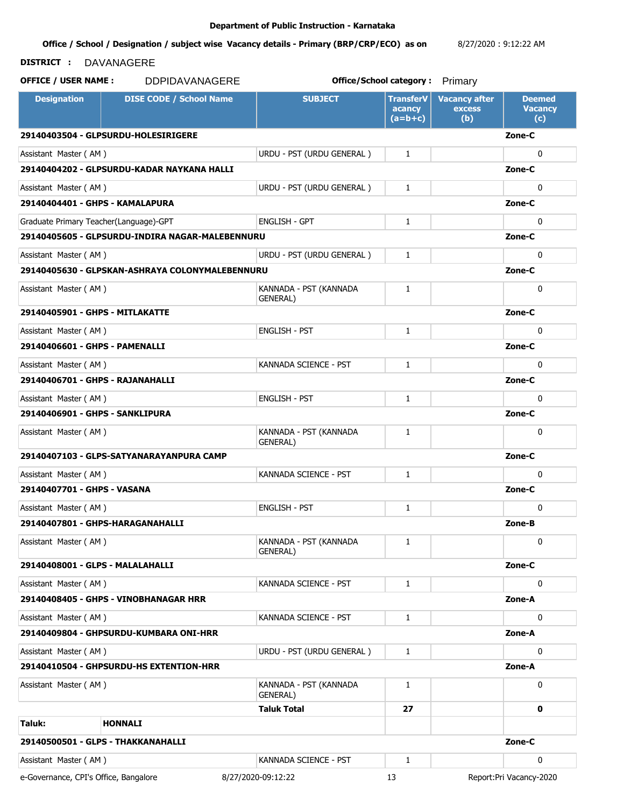#### **Office / School / Designation / subject wise Vacancy details - Primary (BRP/CRP/ECO) as on**  8/27/2020 : 9:12:22 AM

### **DISTRICT :** DAVANAGERE

| <b>Designation</b>                         | <b>DISE CODE / School Name</b>                  | <b>SUBJECT</b>                             | <b>TransferV</b><br>acancy<br>$(a=b+c)$ | <b>Vacancy after</b><br><b>excess</b><br>(b) | <b>Deemed</b><br><b>Vacancy</b><br>(c) |
|--------------------------------------------|-------------------------------------------------|--------------------------------------------|-----------------------------------------|----------------------------------------------|----------------------------------------|
|                                            | 29140403504 - GLPSURDU-HOLESIRIGERE             |                                            |                                         |                                              | Zone-C                                 |
| Assistant Master (AM)                      |                                                 | URDU - PST (URDU GENERAL)                  | $\mathbf{1}$                            |                                              | $\mathbf{0}$                           |
|                                            | 29140404202 - GLPSURDU-KADAR NAYKANA HALLI      |                                            |                                         |                                              | Zone-C                                 |
| Assistant Master (AM)                      |                                                 | URDU - PST (URDU GENERAL)                  | $\mathbf{1}$                            |                                              | $\mathbf{0}$                           |
| 29140404401 - GHPS - KAMALAPURA            |                                                 |                                            |                                         |                                              | Zone-C                                 |
| Graduate Primary Teacher(Language)-GPT     |                                                 | <b>ENGLISH - GPT</b>                       | $\mathbf{1}$                            |                                              | $\mathbf{0}$                           |
|                                            | 29140405605 - GLPSURDU-INDIRA NAGAR-MALEBENNURU |                                            |                                         |                                              | Zone-C                                 |
| Assistant Master (AM)                      |                                                 | URDU - PST (URDU GENERAL)                  | $\mathbf{1}$                            |                                              | 0                                      |
|                                            | 29140405630 - GLPSKAN-ASHRAYA COLONYMALEBENNURU |                                            |                                         |                                              | Zone-C                                 |
| Assistant Master (AM)                      |                                                 | KANNADA - PST (KANNADA<br><b>GENERAL</b> ) | $\mathbf{1}$                            |                                              | 0                                      |
| 29140405901 - GHPS - MITLAKATTE            |                                                 |                                            |                                         |                                              | Zone-C                                 |
| Assistant Master (AM)                      |                                                 | <b>ENGLISH - PST</b>                       | $\mathbf{1}$                            |                                              | $\mathbf{0}$                           |
| 29140406601 - GHPS - PAMENALLI             |                                                 |                                            |                                         |                                              | Zone-C                                 |
| Assistant Master (AM)                      |                                                 | KANNADA SCIENCE - PST                      | $\mathbf{1}$                            |                                              | $\mathbf{0}$                           |
| 29140406701 - GHPS - RAJANAHALLI<br>Zone-C |                                                 |                                            |                                         |                                              |                                        |
| Assistant Master (AM)                      |                                                 | <b>ENGLISH - PST</b>                       | $\mathbf{1}$                            |                                              | $\mathbf{0}$                           |
| 29140406901 - GHPS - SANKLIPURA            |                                                 |                                            |                                         |                                              |                                        |
| Assistant Master (AM)                      |                                                 | KANNADA - PST (KANNADA<br>GENERAL)         | 1                                       |                                              | $\mathbf{0}$                           |
|                                            | 29140407103 - GLPS-SATYANARAYANPURA CAMP        |                                            |                                         |                                              | Zone-C                                 |
| Assistant Master (AM)                      |                                                 | KANNADA SCIENCE - PST                      | $\mathbf{1}$                            |                                              | $\mathbf{0}$                           |
| 29140407701 - GHPS - VASANA                |                                                 |                                            |                                         |                                              | Zone-C                                 |
| Assistant Master (AM)                      |                                                 | <b>ENGLISH - PST</b>                       | $\mathbf{1}$                            |                                              | $\mathbf{0}$                           |
|                                            | 29140407801 - GHPS-HARAGANAHALLI                |                                            |                                         |                                              | Zone-B                                 |
| Assistant Master (AM)                      |                                                 | KANNADA - PST (KANNADA<br>GENERAL)         | $\mathbf{1}$                            |                                              | 0                                      |
| 29140408001 - GLPS - MALALAHALLI           |                                                 |                                            |                                         |                                              | Zone-C                                 |
| Assistant Master (AM)                      |                                                 | KANNADA SCIENCE - PST                      | 1                                       |                                              | $\mathbf 0$                            |
|                                            | 29140408405 - GHPS - VINOBHANAGAR HRR           |                                            |                                         |                                              | Zone-A                                 |
| Assistant Master (AM)                      |                                                 | KANNADA SCIENCE - PST                      | 1                                       |                                              | 0                                      |
|                                            | 29140409804 - GHPSURDU-KUMBARA ONI-HRR          |                                            |                                         |                                              | Zone-A                                 |
| Assistant Master (AM)                      |                                                 | URDU - PST (URDU GENERAL)                  | 1                                       |                                              | $\mathbf 0$                            |
|                                            | 29140410504 - GHPSURDU-HS EXTENTION-HRR         |                                            |                                         |                                              | Zone-A                                 |
| Assistant Master (AM)                      |                                                 | KANNADA - PST (KANNADA<br>GENERAL)         | $\mathbf{1}$                            |                                              | 0                                      |
|                                            |                                                 | <b>Taluk Total</b>                         | 27                                      |                                              | 0                                      |
| Taluk:                                     | <b>HONNALI</b>                                  |                                            |                                         |                                              |                                        |
|                                            | 29140500501 - GLPS - THAKKANAHALLI              |                                            |                                         |                                              | Zone-C                                 |
| Assistant Master (AM)                      |                                                 | KANNADA SCIENCE - PST                      | 1                                       |                                              | 0                                      |
| e-Governance, CPI's Office, Bangalore      |                                                 | 8/27/2020-09:12:22                         | 13                                      |                                              | Report: Pri Vacancy-2020               |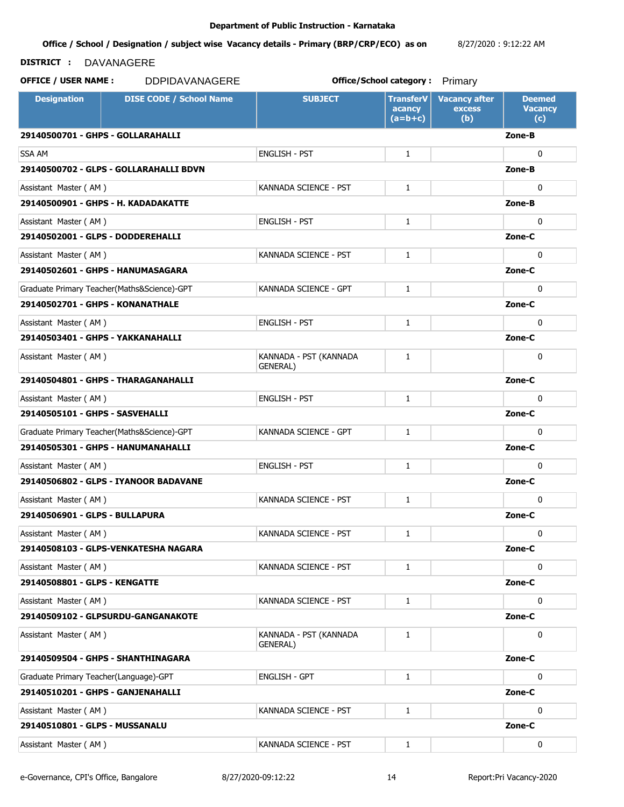**Office / School / Designation / subject wise Vacancy details - Primary (BRP/CRP/ECO) as on**  8/27/2020 : 9:12:22 AM

## **DISTRICT :** DAVANAGERE

| <b>Designation</b>                     | <b>DISE CODE / School Name</b>              | <b>SUBJECT</b>                     | <b>TransferV</b><br>acancy<br>$(a=b+c)$ | <b>Vacancy after</b><br>excess<br>(b) | <b>Deemed</b><br><b>Vacancy</b><br>(c) |
|----------------------------------------|---------------------------------------------|------------------------------------|-----------------------------------------|---------------------------------------|----------------------------------------|
| 29140500701 - GHPS - GOLLARAHALLI      |                                             |                                    |                                         |                                       | Zone-B                                 |
| <b>SSA AM</b>                          |                                             | <b>ENGLISH - PST</b>               | $\mathbf{1}$                            |                                       | 0                                      |
|                                        | 29140500702 - GLPS - GOLLARAHALLI BDVN      |                                    |                                         |                                       | Zone-B                                 |
| Assistant Master (AM)                  |                                             | KANNADA SCIENCE - PST              | $\mathbf{1}$                            |                                       | $\mathbf{0}$                           |
|                                        | 29140500901 - GHPS - H. KADADAKATTE         |                                    |                                         |                                       | Zone-B                                 |
| Assistant Master (AM)                  |                                             | <b>ENGLISH - PST</b>               | $\mathbf{1}$                            |                                       | $\mathbf{0}$                           |
| 29140502001 - GLPS - DODDEREHALLI      |                                             |                                    |                                         |                                       | Zone-C                                 |
| Assistant Master (AM)                  |                                             | KANNADA SCIENCE - PST              | $\mathbf{1}$                            |                                       | $\mathbf 0$                            |
|                                        | 29140502601 - GHPS - HANUMASAGARA           |                                    |                                         |                                       | Zone-C                                 |
|                                        | Graduate Primary Teacher(Maths&Science)-GPT | KANNADA SCIENCE - GPT              | $\mathbf{1}$                            |                                       | $\mathbf{0}$                           |
| 29140502701 - GHPS - KONANATHALE       |                                             |                                    |                                         |                                       | Zone-C                                 |
| Assistant Master (AM)                  |                                             | <b>ENGLISH - PST</b>               | $\mathbf{1}$                            |                                       | $\mathbf{0}$                           |
| 29140503401 - GHPS - YAKKANAHALLI      |                                             |                                    |                                         |                                       | Zone-C                                 |
| Assistant Master (AM)                  |                                             | KANNADA - PST (KANNADA<br>GENERAL) | $\mathbf{1}$                            |                                       | $\mathbf{0}$                           |
|                                        | 29140504801 - GHPS - THARAGANAHALLI         |                                    |                                         |                                       | Zone-C                                 |
| Assistant Master (AM)                  |                                             | <b>ENGLISH - PST</b>               | $\mathbf{1}$                            |                                       | $\mathbf{0}$                           |
| 29140505101 - GHPS - SASVEHALLI        |                                             |                                    |                                         |                                       | Zone-C                                 |
|                                        | Graduate Primary Teacher(Maths&Science)-GPT | KANNADA SCIENCE - GPT              | $\mathbf{1}$                            |                                       | 0                                      |
|                                        | 29140505301 - GHPS - HANUMANAHALLI          |                                    |                                         |                                       | Zone-C                                 |
| Assistant Master (AM)                  |                                             | <b>ENGLISH - PST</b>               | $\mathbf{1}$                            |                                       | $\mathbf{0}$                           |
|                                        | 29140506802 - GLPS - IYANOOR BADAVANE       |                                    |                                         |                                       | Zone-C                                 |
| Assistant Master (AM)                  |                                             | KANNADA SCIENCE - PST              | $\mathbf{1}$                            |                                       | $\mathbf{0}$                           |
| 29140506901 - GLPS - BULLAPURA         |                                             |                                    |                                         |                                       | Zone-C                                 |
| Assistant Master (AM)                  |                                             | KANNADA SCIENCE - PST              | $\mathbf{1}$                            |                                       | 0                                      |
|                                        | 29140508103 - GLPS-VENKATESHA NAGARA        |                                    |                                         |                                       | Zone-C                                 |
| Assistant Master (AM)                  |                                             | KANNADA SCIENCE - PST              | $\mathbf{1}$                            |                                       | 0                                      |
| 29140508801 - GLPS - KENGATTE          |                                             |                                    |                                         |                                       | Zone-C                                 |
| Assistant Master (AM)                  |                                             | KANNADA SCIENCE - PST              | $\mathbf{1}$                            |                                       | 0                                      |
|                                        | 29140509102 - GLPSURDU-GANGANAKOTE          |                                    |                                         |                                       | Zone-C                                 |
| Assistant Master (AM)                  |                                             | KANNADA - PST (KANNADA<br>GENERAL) | $\mathbf{1}$                            |                                       | 0                                      |
|                                        | 29140509504 - GHPS - SHANTHINAGARA          |                                    |                                         |                                       | Zone-C                                 |
| Graduate Primary Teacher(Language)-GPT |                                             | <b>ENGLISH - GPT</b>               | $\mathbf{1}$                            |                                       | 0                                      |
| 29140510201 - GHPS - GANJENAHALLI      |                                             |                                    |                                         |                                       | Zone-C                                 |
| Assistant Master (AM)                  |                                             | KANNADA SCIENCE - PST              | $\mathbf{1}$                            |                                       | $\mathbf 0$                            |
| 29140510801 - GLPS - MUSSANALU         |                                             |                                    |                                         |                                       | Zone-C                                 |
| Assistant Master (AM)                  |                                             | KANNADA SCIENCE - PST              | $\mathbf{1}$                            |                                       | 0                                      |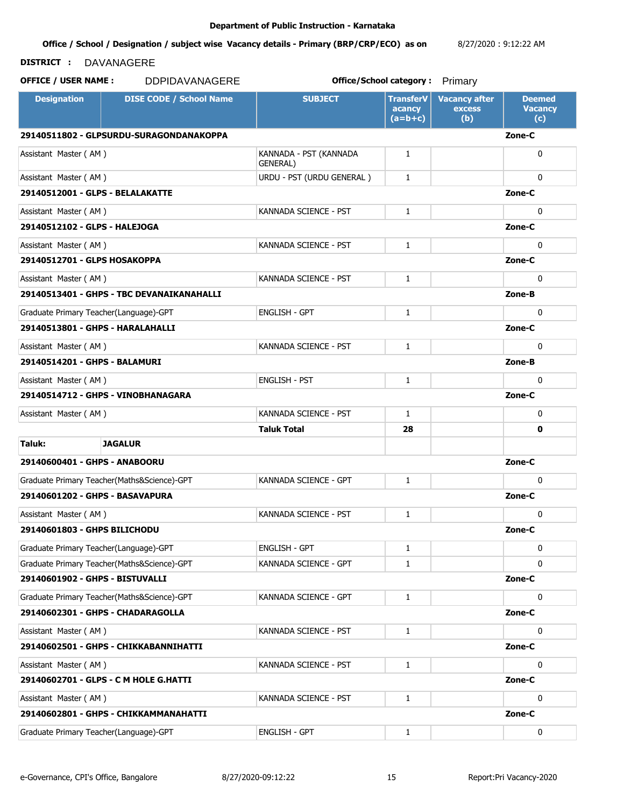#### **Office / School / Designation / subject wise Vacancy details - Primary (BRP/CRP/ECO) as on**  8/27/2020 : 9:12:22 AM

### **DISTRICT :** DAVANAGERE

**OFFICE / USER NAME :** DDPIDAVANAGERE **but the contract office/School category :** Primary

**Designation | DISE CODE / School Name | SUBJECT | TransferV acancy (a=b+c) Vacancy after excess (b) Deemed Vacancy (c) 29140511802 - GLPSURDU-SURAGONDANAKOPPA Zone-C** Assistant Master ( AM ) KANNADA - PST (KANNADA - PST (KANNADA GENERAL) 1 0 Assistant Master ( AM ) URDU - PST (URDU GENERAL ) 1 0 **29140512001 - GLPS - BELALAKATTE Zone-C** Assistant Master ( AM ) KANNADA SCIENCE - PST 0 **29140512102 - GLPS - HALEJOGA Zone-C** Assistant Master ( AM ) KANNADA SCIENCE - PST 0 **29140512701 - GLPS HOSAKOPPA Zone-C** Assistant Master ( AM ) KANNADA SCIENCE - PST 1 0 **29140513401 - GHPS - TBC DEVANAIKANAHALLI Zone-B** Graduate Primary Teacher(Language)-GPT Fig. 2014 | ENGLISH - GPT | The Unit of the Unit of the Unit of the Unit o **29140513801 - GHPS - HARALAHALLI Zone-C** Assistant Master ( AM ) KANNADA SCIENCE - PST 1 0 **29140514201 - GHPS - BALAMURI Zone-B** Assistant Master ( AM ) ENGLISH - PST 0 **29140514712 - GHPS - VINOBHANAGARA Zone-C** Assistant Master ( AM ) KANNADA SCIENCE - PST 0 **Taluk Total 28 0 Taluk: JAGALUR 29140600401 - GHPS - ANABOORU Zone-C** Graduate Primary Teacher(Maths&Science)-GPT KANNADA SCIENCE - GPT 1 0 0 0 **29140601202 - GHPS - BASAVAPURA Zone-C** Assistant Master ( AM ) KANNADA SCIENCE - PST 1 0 **29140601803 - GHPS BILICHODU Zone-C** Graduate Primary Teacher(Language)-GPT Fig. 2014 | ENGLISH - GPT | The Unit of the Unit of the Unit of the Unit o Graduate Primary Teacher(Maths&Science)-GPT KANNADA SCIENCE - GPT 1 0 0 0 **29140601902 - GHPS - BISTUVALLI Zone-C** Graduate Primary Teacher(Maths&Science)-GPT KANNADA SCIENCE - GPT 1 0 0 0 **29140602301 - GHPS - CHADARAGOLLA Zone-C** Assistant Master ( AM ) KANNADA SCIENCE - PST 0 **29140602501 - GHPS - CHIKKABANNIHATTI Zone-C** Assistant Master ( AM ) KANNADA SCIENCE - PST 0 **29140602701 - GLPS - C M HOLE G.HATTI Zone-C** Assistant Master ( AM ) KANNADA SCIENCE - PST 0 **29140602801 - GHPS - CHIKKAMMANAHATTI Zone-C** Graduate Primary Teacher(Language)-GPT ENGLISH - GPT 1 0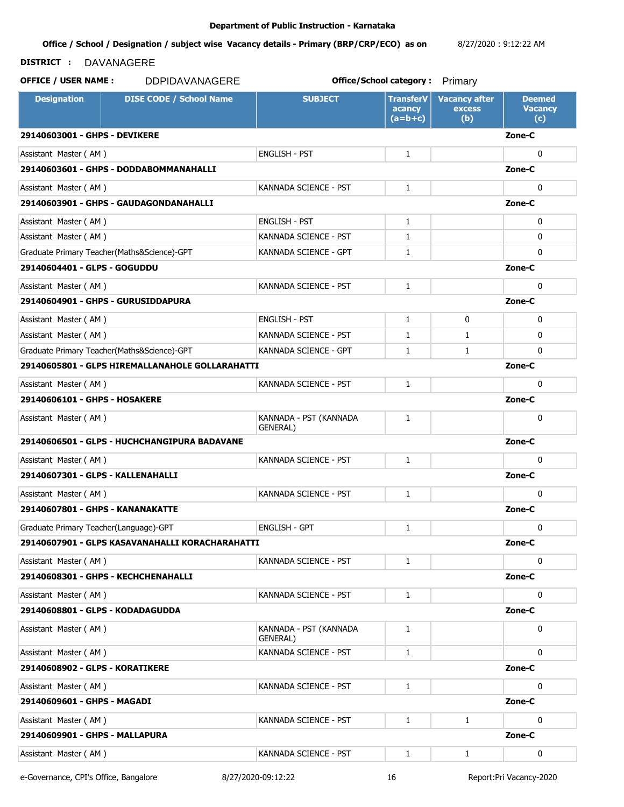**Office / School / Designation / subject wise Vacancy details - Primary (BRP/CRP/ECO) as on**  8/27/2020 : 9:12:22 AM

## **DISTRICT :** DAVANAGERE

**OFFICE / USER NAME :** DDPIDAVANAGERE **but the contract office/School category :** Primary

**Designation | DISE CODE / School Name | SUBJECT | TransferV acancy (a=b+c) Vacancy after excess (b) Deemed Vacancy (c) 29140603001 - GHPS - DEVIKERE Zone-C** Assistant Master (AM ) and the Contract of the Contract of the Contract of the Contract of the Contract of the Contract of the Contract of the Contract of the Contract of the Contract of the Contract of the Contract of the **29140603601 - GHPS - DODDABOMMANAHALLI Zone-C** Assistant Master ( AM ) KANNADA SCIENCE - PST 0 **29140603901 - GHPS - GAUDAGONDANAHALLI Zone-C** Assistant Master ( AM ) ENGLISH - PST 0 Assistant Master ( AM ) KANNADA SCIENCE - PST 1 0 Graduate Primary Teacher(Maths&Science)-GPT KANNADA SCIENCE - GPT 1 0 0 0 **29140604401 - GLPS - GOGUDDU Zone-C** Assistant Master ( AM ) KANNADA SCIENCE - PST 0 **29140604901 - GHPS - GURUSIDDAPURA Zone-C** Assistant Master ( AM ) ENGLISH - PST 1 0 0 Assistant Master ( AM ) KANNADA SCIENCE - PST 1 1 0 Graduate Primary Teacher(Maths&Science)-GPT KANNADA SCIENCE - GPT 1 1 1 1 1 0 0 **29140605801 - GLPS HIREMALLANAHOLE GOLLARAHATTI Zone-C** Assistant Master ( AM ) KANNADA SCIENCE - PST 0 **29140606101 - GHPS - HOSAKERE Zone-C** Assistant Master (AM ) KANNADA - PST (KANNADA GENERAL) 1 0 **29140606501 - GLPS - HUCHCHANGIPURA BADAVANE Zone-C** Assistant Master ( AM ) KANNADA SCIENCE - PST 1 0 **29140607301 - GLPS - KALLENAHALLI Zone-C** Assistant Master ( AM ) KANNADA SCIENCE - PST 1 0 **29140607801 - GHPS - KANANAKATTE Zone-C** Graduate Primary Teacher(Language)-GPT ENGLISH - GPT 1 0 **29140607901 - GLPS KASAVANAHALLI KORACHARAHATTI Zone-C** Assistant Master ( AM ) KANNADA SCIENCE - PST 1 0 **29140608301 - GHPS - KECHCHENAHALLI Zone-C** Assistant Master ( AM ) KANNADA SCIENCE - PST 0 **29140608801 - GLPS - KODADAGUDDA Zone-C** Assistant Master (AM ) KANNADA - PST (KANNADA GENERAL) 1 0 Assistant Master ( AM ) KANNADA SCIENCE - PST 0 **29140608902 - GLPS - KORATIKERE Zone-C** Assistant Master(AM) KANNADA SCIENCE - PST 0 **29140609601 - GHPS - MAGADI Zone-C** Assistant Master ( AM ) and the Community of the KANNADA SCIENCE - PST and the Master ( AM ) and the Master of **29140609901 - GHPS - MALLAPURA Zone-C** Assistant Master (AM ) KANNADA SCIENCE - PST 1 1 0

e-Governance, CPI's Office, Bangalore 8/27/2020-09:12:22 16 Report:Pri Vacancy-2020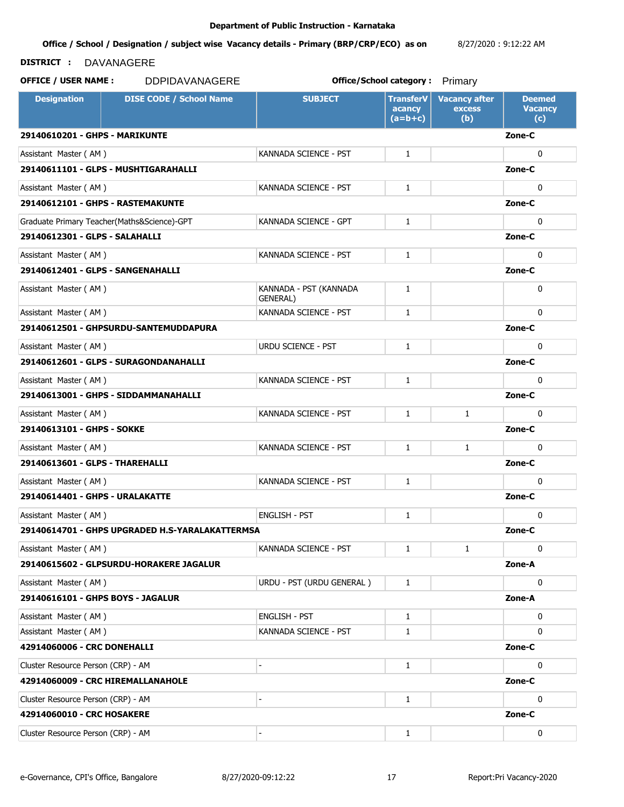**Office / School / Designation / subject wise Vacancy details - Primary (BRP/CRP/ECO) as on**  8/27/2020 : 9:12:22 AM

# **DISTRICT :** DAVANAGERE

**OFFICE / USER NAME :** DDPIDAVANAGERE **but the contract office/School category :** Primary

**Designation | DISE CODE / School Name | SUBJECT | TransferV acancy (a=b+c) Vacancy after excess (b) Deemed Vacancy (c) 29140610201 - GHPS - MARIKUNTE Zone-C** Assistant Master (AM ) and the CAN is a set of the CANNADA SCIENCE - PST and the U.S. of the U.S. of the U.S. o **29140611101 - GLPS - MUSHTIGARAHALLI Zone-C** Assistant Master ( AM ) KANNADA SCIENCE - PST 0 **29140612101 - GHPS - RASTEMAKUNTE Zone-C** Graduate Primary Teacher(Maths&Science)-GPT KANNADA SCIENCE - GPT 1 0 0 0 **29140612301 - GLPS - SALAHALLI Zone-C** Assistant Master ( AM ) KANNADA SCIENCE - PST 0 **29140612401 - GLPS - SANGENAHALLI Zone-C** Assistant Master (AM ) KANNADA - PST (KANNADA GENERAL) 1 0 Assistant Master ( AM ) KANNADA SCIENCE - PST 1 0 **29140612501 - GHPSURDU-SANTEMUDDAPURA Zone-C** Assistant Master ( AM ) and the control of the URDU SCIENCE - PST and the control of the control of the control o **29140612601 - GLPS - SURAGONDANAHALLI Zone-C** Assistant Master ( AM ) KANNADA SCIENCE - PST 0 **29140613001 - GHPS - SIDDAMMANAHALLI Zone-C** Assistant Master ( AM ) KANNADA SCIENCE - PST 1 1 0 **29140613101 - GHPS - SOKKE Zone-C** Assistant Master ( AM ) KANNADA SCIENCE - PST 1 0 **29140613601 - GLPS - THAREHALLI Zone-C** Assistant Master ( AM ) KANNADA SCIENCE - PST 1 0 **29140614401 - GHPS - URALAKATTE Zone-C** Assistant Master ( AM ) ENGLISH - PST 0 **29140614701 - GHPS UPGRADED H.S-YARALAKATTERMSA Zone-C** Assistant Master (AM ) and the CAN is a set of the KANNADA SCIENCE - PST and the distribution of the distribution of the distribution of the distribution of the distribution of the distribution of the distribution of the d **29140615602 - GLPSURDU-HORAKERE JAGALUR Zone-A** Assistant Master ( AM ) URDU - PST (URDU GENERAL ) 1 0 **29140616101 - GHPS BOYS - JAGALUR Zone-A** Assistant Master ( AM ) ENGLISH - PST 0 Assistant Master ( AM ) KANNADA SCIENCE - PST 0 **42914060006 - CRC DONEHALLI Zone-C** Cluster Resource Person (CRP) - AM  $\qquad \qquad$  -  $\qquad \qquad$  -  $\qquad \qquad$  1  $\qquad \qquad$  0 **42914060009 - CRC HIREMALLANAHOLE Zone-C** Cluster Resource Person (CRP) - AM  $\qquad \qquad$  -  $\qquad \qquad$  1 1 0 0 **42914060010 - CRC HOSAKERE Zone-C** Cluster Resource Person (CRP) - AM  $\qquad \qquad$  -  $\qquad \qquad$  -  $\qquad \qquad$  1  $\qquad \qquad$  0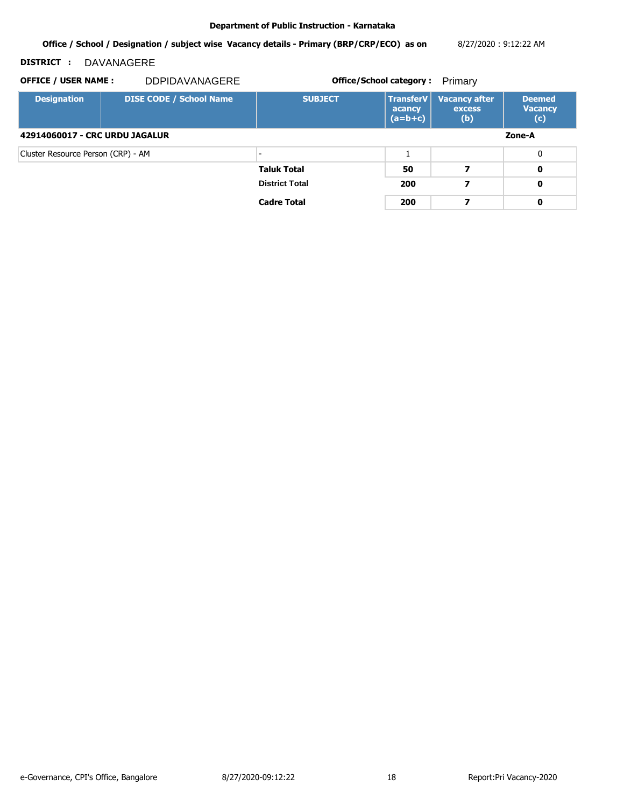**Office / School / Designation / subject wise Vacancy details - Primary (BRP/CRP/ECO) as on**  8/27/2020 : 9:12:22 AM

# **DISTRICT :** DAVANAGERE

**OFFICE / USER NAME : DDPIDAVANAGERE** 

**Office/School category:** Primary

**Designation DISE CODE / School Name SUBJECT TransferV acancy (a=b+c) Vacancy after excess (b) Deemed Vacancy (c) 42914060017 - CRC URDU JAGALUR Zone-A** Cluster Resource Person (CRP) - AM  $\qquad \qquad$  -  $\qquad \qquad$  1 1 0 0 **Taluk Total 50 7 0 District Total 200 7 0 Cadre Total 200 7 0**